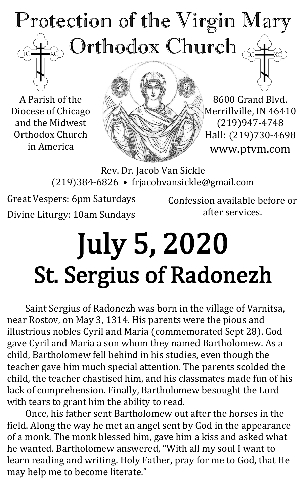# Protection of the Virgin Mary Orthodox Church  $\mathrm{IC}$

A Parish of the Diocese of Chicago and the Midwest Orthodox Church in America



8600 Grand Blvd. Merrillville, IN 46410 (219)947-4748 Hall: (219)730-4698 www.ptvm.com

Rev. Dr. Jacob Van Sickle (219)384-6826 • frjacobvansickle@gmail.com

Great Vespers: 6pm Saturdays Divine Liturgy: 10am Sundays

Confession available before or after services.

# July 5, 2020 St. Sergius of Radonezh

Saint Sergius of Radonezh was born in the village of Varnitsa, near Rostov, on May 3, 1314. His parents were the pious and illustrious nobles Cyril and Maria (commemorated Sept 28). God gave Cyril and Maria a son whom they named Bartholomew. As a child, Bartholomew fell behind in his studies, even though the teacher gave him much special attention. The parents scolded the child, the teacher chastised him, and his classmates made fun of his lack of comprehension. Finally, Bartholomew besought the Lord with tears to grant him the ability to read.

Once, his father sent Bartholomew out after the horses in the field. Along the way he met an angel sent by God in the appearance of a monk. The monk blessed him, gave him a kiss and asked what he wanted. Bartholomew answered, "With all my soul I want to learn reading and writing. Holy Father, pray for me to God, that He may help me to become literate."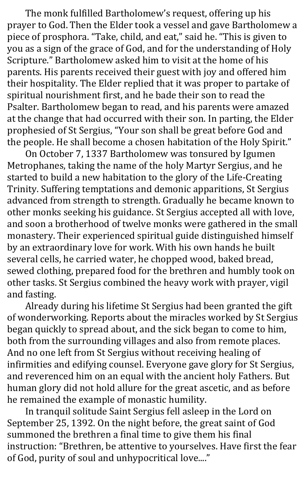The monk fulfilled Bartholomew's request, offering up his prayer to God. Then the Elder took a vessel and gave Bartholomew a piece of prosphora. "Take, child, and eat," said he. "This is given to you as a sign of the grace of God, and for the understanding of Holy Scripture." Bartholomew asked him to visit at the home of his parents. His parents received their guest with joy and offered him their hospitality. The Elder replied that it was proper to partake of spiritual nourishment first, and he bade their son to read the Psalter. Bartholomew began to read, and his parents were amazed at the change that had occurred with their son. In parting, the Elder prophesied of St Sergius, "Your son shall be great before God and the people. He shall become a chosen habitation of the Holy Spirit."

On October 7, 1337 Bartholomew was tonsured by Igumen Metrophanes, taking the name of the holy Martyr Sergius, and he started to build a new habitation to the glory of the Life-Creating Trinity. Suffering temptations and demonic apparitions, St Sergius advanced from strength to strength. Gradually he became known to other monks seeking his guidance. St Sergius accepted all with love, and soon a brotherhood of twelve monks were gathered in the small monastery. Their experienced spiritual guide distinguished himself by an extraordinary love for work. With his own hands he built several cells, he carried water, he chopped wood, baked bread, sewed clothing, prepared food for the brethren and humbly took on other tasks. St Sergius combined the heavy work with prayer, vigil and fasting.

Already during his lifetime St Sergius had been granted the gift of wonderworking. Reports about the miracles worked by St Sergius began quickly to spread about, and the sick began to come to him, both from the surrounding villages and also from remote places. And no one left from St Sergius without receiving healing of infirmities and edifying counsel. Everyone gave glory for St Sergius, and reverenced him on an equal with the ancient holy Fathers. But human glory did not hold allure for the great ascetic, and as before he remained the example of monastic humility.

In tranquil solitude Saint Sergius fell asleep in the Lord on September 25, 1392. On the night before, the great saint of God summoned the brethren a final time to give them his final instruction: "Brethren, be attentive to yourselves. Have first the fear of God, purity of soul and unhypocritical love...."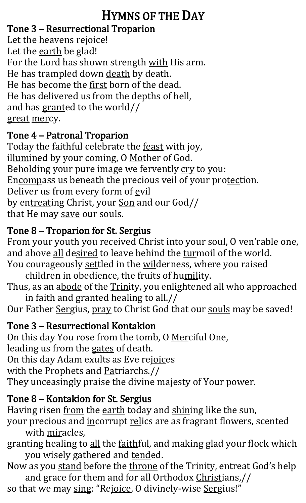### HYMNS OF THE DAY

#### Tone 3 – Resurrectional Troparion

Let the heavens rejoice! Let the earth be glad! For the Lord has shown strength with His arm. He has trampled down death by death. He has become the first born of the dead. He has delivered us from the depths of hell, and has granted to the world// great mercy.

#### Tone 4 – Patronal Troparion

Today the faithful celebrate the **feast** with joy, illumined by your coming, O Mother of God. Beholding your pure image we fervently cry to you: Encompass us beneath the precious veil of your protection. Deliver us from every form of evil by entreating Christ, your Son and our God// that He may save our souls.

#### Tone 8 – Troparion for St. Sergius

From your youth you received Christ into your soul, O ven'rable one, and above all desired to leave behind the turmoil of the world.

You courageously settled in the wilderness, where you raised children in obedience, the fruits of humility. Thus, as an abode of the Trinity, you enlightened all who approached

in faith and granted healing to all.// Our Father Sergius, pray to Christ God that our souls may be saved!

#### Tone 3 – Resurrectional Kontakion

On this day You rose from the tomb, O Merciful One, leading us from the gates of death. On this day Adam exults as Eve rejoices with the Prophets and Patriarchs.// They unceasingly praise the divine majesty of Your power.

#### Tone 8 – Kontakion for St. Sergius

Having risen from the earth today and shining like the sun,

- your precious and incorrupt relics are as fragrant flowers, scented with miracles,
- granting healing to all the faithful, and making glad your flock which you wisely gathered and tended.
- Now as you stand before the throne of the Trinity, entreat God's help and grace for them and for all Orthodox Christians,//
- so that we may sing: "Rejoice, O divinely-wise Sergius!"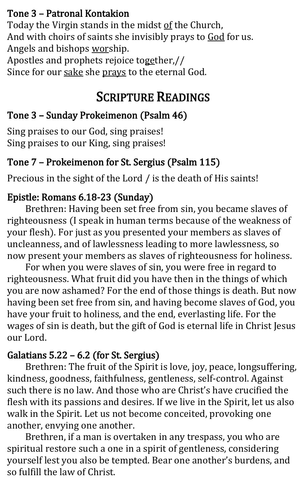#### Tone 3 – Patronal Kontakion

Today the Virgin stands in the midst of the Church, And with choirs of saints she invisibly prays to God for us. Angels and bishops worship. Apostles and prophets rejoice together,//

Since for our sake she prays to the eternal God.

## SCRIPTURE READINGS

#### Tone 3 – Sunday Prokeimenon (Psalm 46)

Sing praises to our God, sing praises! Sing praises to our King, sing praises!

#### Tone 7 – Prokeimenon for St. Sergius (Psalm 115)

Precious in the sight of the Lord / is the death of His saints!

#### Epistle: Romans 6.18-23 (Sunday)

 Brethren: Having been set free from sin, you became slaves of righteousness (I speak in human terms because of the weakness of your flesh). For just as you presented your members as slaves of uncleanness, and of lawlessness leading to more lawlessness, so now present your members as slaves of righteousness for holiness.

For when you were slaves of sin, you were free in regard to righteousness. What fruit did you have then in the things of which you are now ashamed? For the end of those things is death. But now having been set free from sin, and having become slaves of God, you have your fruit to holiness, and the end, everlasting life. For the wages of sin is death, but the gift of God is eternal life in Christ Jesus our Lord.

#### Galatians 5.22 – 6.2 (for St. Sergius)

Brethren: The fruit of the Spirit is love, joy, peace, longsuffering, kindness, goodness, faithfulness, gentleness, self-control. Against such there is no law. And those who are Christ's have crucified the flesh with its passions and desires. If we live in the Spirit, let us also walk in the Spirit. Let us not become conceited, provoking one another, envying one another.

Brethren, if a man is overtaken in any trespass, you who are spiritual restore such a one in a spirit of gentleness, considering yourself lest you also be tempted. Bear one another's burdens, and so fulfill the law of Christ.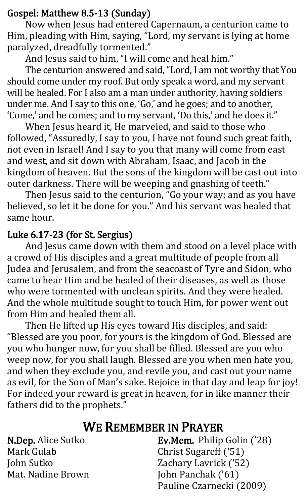#### Gospel: Matthew 8.5-13 (Sunday)

Now when Jesus had entered Capernaum, a centurion came to Him, pleading with Him, saying, "Lord, my servant is lying at home paralyzed, dreadfully tormented."

And Jesus said to him, "I will come and heal him."

The centurion answered and said, "Lord, I am not worthy that You should come under my roof. But only speak a word, and my servant will be healed. For I also am a man under authority, having soldiers under me. And I say to this one, 'Go,' and he goes; and to another, 'Come,' and he comes; and to my servant, 'Do this,' and he does it."

When Jesus heard it, He marveled, and said to those who followed, "Assuredly, I say to you, I have not found such great faith, not even in Israel! And I say to you that many will come from east and west, and sit down with Abraham, Isaac, and Jacob in the kingdom of heaven. But the sons of the kingdom will be cast out into outer darkness. There will be weeping and gnashing of teeth."

Then Jesus said to the centurion, "Go your way; and as you have believed, so let it be done for you." And his servant was healed that same hour.

#### Luke 6.17-23 (for St. Sergius)

And Jesus came down with them and stood on a level place with a crowd of His disciples and a great multitude of people from all Judea and Jerusalem, and from the seacoast of Tyre and Sidon, who came to hear Him and be healed of their diseases, as well as those who were tormented with unclean spirits. And they were healed. And the whole multitude sought to touch Him, for power went out from Him and healed them all.

Then He lifted up His eyes toward His disciples, and said: "Blessed are you poor, for yours is the kingdom of God. Blessed are you who hunger now, for you shall be filled. Blessed are you who weep now, for you shall laugh. Blessed are you when men hate you, and when they exclude you, and revile you, and cast out your name as evil, for the Son of Man's sake. Rejoice in that day and leap for joy! For indeed your reward is great in heaven, for in like manner their fathers did to the prophets."

#### WE REMEMBER IN PRAYER

N.Dep. Alice Sutko Mark Gulab John Sutko Mat. Nadine Brown Ev.Mem. Philip Golin ('28) Christ Sugareff ('51) Zachary Lavrick ('52) John Panchak ('61) Pauline Czarnecki (2009)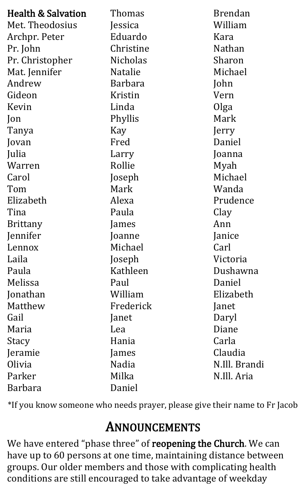| <b>Health &amp; Salvation</b> | Thomas          | <b>Brendan</b> |
|-------------------------------|-----------------|----------------|
| Met. Theodosius               | Jessica         | William        |
|                               | Eduardo         | Kara           |
| Archpr. Peter                 |                 |                |
| Pr. John                      | Christine       | <b>Nathan</b>  |
| Pr. Christopher               | <b>Nicholas</b> | Sharon         |
| Mat. Jennifer                 | <b>Natalie</b>  | Michael        |
| Andrew                        | <b>Barbara</b>  | John           |
| Gideon                        | Kristin         | Vern           |
| Kevin                         | Linda           | Olga           |
| Jon                           | Phyllis         | Mark           |
| Tanya                         | Kay             | Jerry          |
| Jovan                         | Fred            | Daniel         |
| Julia                         | Larry           | Joanna         |
| Warren                        | Rollie          | Myah           |
| Carol                         | Joseph          | Michael        |
| Tom                           | Mark            | Wanda          |
| Elizabeth                     | Alexa           | Prudence       |
| Tina                          | Paula           | Clay           |
| <b>Brittany</b>               | ames            | Ann            |
| Jennifer                      | Joanne          | Janice         |
| Lennox                        | Michael         | Carl           |
| Laila                         | Joseph          | Victoria       |
| Paula                         | Kathleen        | Dushawna       |
| Melissa                       | Paul            | Daniel         |
| Jonathan                      | William         | Elizabeth      |
| Matthew                       | Frederick       | Janet          |
| Gail                          | Janet           | Daryl          |
| Maria                         | Lea             | Diane          |
| Stacy                         | Hania           | Carla          |
| Jeramie                       | James           | Claudia        |
| Olivia                        | Nadia           | N Ill. Brandi  |
| Parker                        | Milka           | N.Ill. Aria    |
| Barbara                       | Daniel          |                |

\*If you know someone who needs prayer, please give their name to Fr Jacob

# ANNOUNCEMENTS

We have entered "phase three" of reopening the Church. We can have up to 60 persons at one time, maintaining distance between groups. Our older members and those with complicating health conditions are still encouraged to take advantage of weekday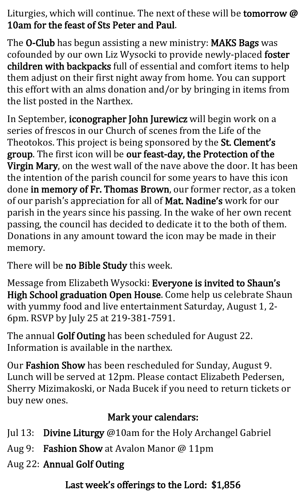Liturgies, which will continue. The next of these will be tomorrow @ 10am for the feast of Sts Peter and Paul.

The O-Club has begun assisting a new ministry: MAKS Bags was cofounded by our own Liz Wysocki to provide newly-placed foster children with backpacks full of essential and comfort items to help them adjust on their first night away from home. You can support this effort with an alms donation and/or by bringing in items from the list posted in the Narthex.

In September, iconographer John Jurewicz will begin work on a series of frescos in our Church of scenes from the Life of the Theotokos. This project is being sponsored by the St. Clement's group. The first icon will be our feast-day, the Protection of the Virgin Mary, on the west wall of the nave above the door. It has been the intention of the parish council for some years to have this icon done in memory of Fr. Thomas Brown, our former rector, as a token of our parish's appreciation for all of Mat. Nadine's work for our parish in the years since his passing. In the wake of her own recent passing, the council has decided to dedicate it to the both of them. Donations in any amount toward the icon may be made in their memory.

There will be no Bible Study this week.

Message from Elizabeth Wysocki: Everyone is invited to Shaun's High School graduation Open House. Come help us celebrate Shaun with yummy food and live entertainment Saturday, August 1, 2- 6pm. RSVP by July 25 at 219-381-7591.

The annual Golf Outing has been scheduled for August 22. Information is available in the narthex.

Our Fashion Show has been rescheduled for Sunday, August 9. Lunch will be served at 12pm. Please contact Elizabeth Pedersen, Sherry Mizimakoski, or Nada Bucek if you need to return tickets or buy new ones.

#### Mark your calendars:

- Jul 13: Divine Liturgy @10am for the Holy Archangel Gabriel
- Aug 9: Fashion Show at Avalon Manor @ 11pm
- Aug 22: Annual Golf Outing

Last week's offerings to the Lord: \$1,856